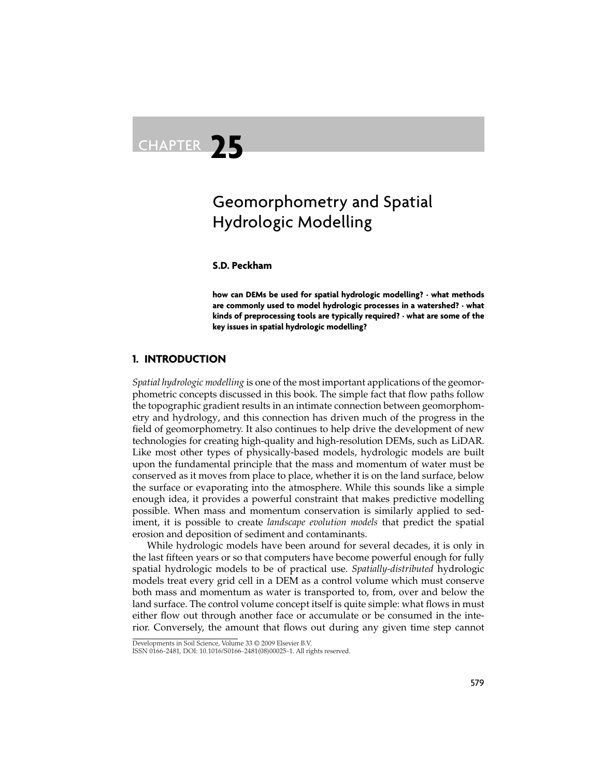# CHAPTER **25**

# Geomorphometry and Spatial Hydrologic Modelling

#### **S.D. Peckham**

**how can DEMs be used for spatial hydrologic modelling? · what methods are commonly used to model hydrologic processes in a watershed? · what kinds of preprocessing tools are typically required? · what are some of the key issues in spatial hydrologic modelling?**

#### **1. INTRODUCTION**

*Spatial hydrologic modelling* is one of the most important applications of the geomorphometric concepts discussed in this book. The simple fact that flow paths follow the topographic gradient results in an intimate connection between geomorphometry and hydrology, and this connection has driven much of the progress in the field of geomorphometry. It also continues to help drive the development of new technologies for creating high-quality and high-resolution DEMs, such as LiDAR. Like most other types of physically-based models, hydrologic models are built upon the fundamental principle that the mass and momentum of water must be conserved as it moves from place to place, whether it is on the land surface, below the surface or evaporating into the atmosphere. While this sounds like a simple enough idea, it provides a powerful constraint that makes predictive modelling possible. When mass and momentum conservation is similarly applied to sediment, it is possible to create *landscape evolution models* that predict the spatial erosion and deposition of sediment and contaminants.

While hydrologic models have been around for several decades, it is only in the last fifteen years or so that computers have become powerful enough for fully spatial hydrologic models to be of practical use. *Spatially-distributed* hydrologic models treat every grid cell in a DEM as a control volume which must conserve both mass and momentum as water is transported to, from, over and below the land surface. The control volume concept itself is quite simple: what flows in must either flow out through another face or accumulate or be consumed in the interior. Conversely, the amount that flows out during any given time step cannot

Developments in Soil Science, Volume 33 © 2009 Elsevier B.V.

ISSN 0166-2481, DOI: 10.1016/S0166-2481(08)00025-1. All rights reserved.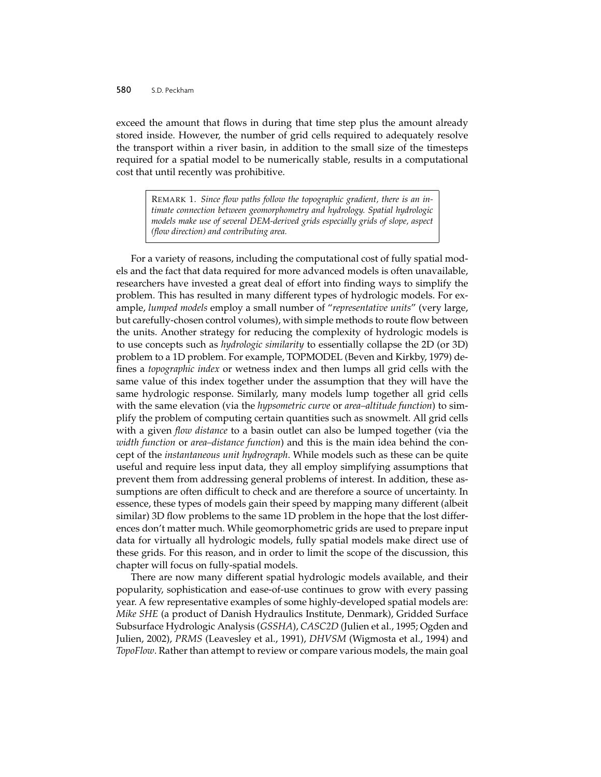exceed the amount that flows in during that time step plus the amount already stored inside. However, the number of grid cells required to adequately resolve the transport within a river basin, in addition to the small size of the timesteps required for a spatial model to be numerically stable, results in a computational cost that until recently was prohibitive.

REMARK 1. *Since flow paths follow the topographic gradient, there is an intimate connection between geomorphometry and hydrology. Spatial hydrologic models make use of several DEM-derived grids especially grids of slope, aspect (flow direction)and contributing area.*

For a variety of reasons, including the computational cost of fully spatial models and the fact that data required for more advanced models is often unavailable, researchers have invested a great deal of effort into finding ways to simplify the problem. This has resulted in many different types of hydrologic models. For example, *lumped models* employ a small number of "*representative units*" (very large, but carefully-chosen control volumes), with simple methods to route flow between the units. Another strategy for reducing the complexity of hydrologic models is to use concepts such as *hydrologic similarity* to essentially collapse the 2D (or 3D) problem to a 1D problem. For example, TOPMODEL (Beven and Kirkby, 1979) defines a *topographic index* or wetness index and then lumps all grid cells with the same value of this index together under the assumption that they will have the same hydrologic response. Similarly, many models lump together all grid cells with the same elevation (via the *hypsometric curve* or *area–altitude function*) to simplify the problem of computing certain quantities such as snowmelt. All grid cells with a given *flow distance* to a basin outlet can also be lumped together (via the *width function* or *area–distance function*) and this is the main idea behind the concept of the *instantaneous unit hydrograph*. While models such as these can be quite useful and require less input data, they all employ simplifying assumptions that prevent them from addressing general problems of interest. In addition, these assumptions are often difficult to check and are therefore a source of uncertainty. In essence, these types of models gain their speed by mapping many different (albeit similar) 3D flow problems to the same 1D problem in the hope that the lost differences don't matter much. While geomorphometric grids are used to prepare input data for virtually all hydrologic models, fully spatial models make direct use of these grids. For this reason, and in order to limit the scope of the discussion, this chapter will focus on fully-spatial models.

There are now many different spatial hydrologic models available, and their popularity, sophistication and ease-of-use continues to grow with every passing year. A few representative examples of some highly-developed spatial models are: *Mike SHE* (a product of Danish Hydraulics Institute, Denmark), Gridded Surface Subsurface Hydrologic Analysis (*GSSHA*), *CASC2D* (Julien et al., 1995; Ogden and Julien, 2002), *PRMS* (Leavesley et al., 1991), *DHVSM* (Wigmosta et al., 1994) and *TopoFlow*. Rather than attempt to review or compare various models, the main goal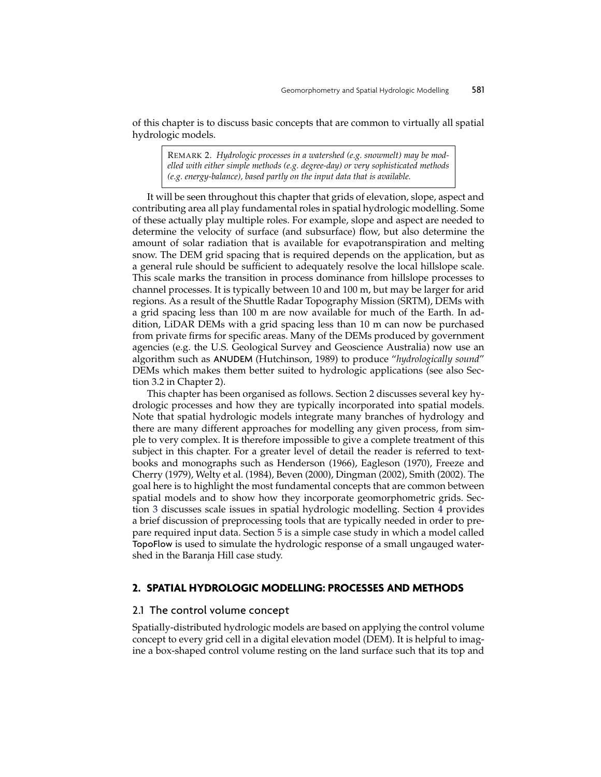of this chapter is to discuss basic concepts that are common to virtually all spatial hydrologic models.

REMARK 2. Hydrologic processes in a watershed (e.g. snowmelt) may be mod*elled with either simple methods (e.g. degree-day) or very sophisticated methods (e.g. energy-balance), based partly on the input data that is available.*

It will be seen throughout this chapter that grids of elevation, slope, aspect and contributing area all play fundamental roles in spatial hydrologic modelling. Some of these actually play multiple roles. For example, slope and aspect are needed to determine the velocity of surface (and subsurface) flow, but also determine the amount of solar radiation that is available for evapotranspiration and melting snow. The DEM grid spacing that is required depends on the application, but as a general rule should be sufficient to adequately resolve the local hillslope scale. This scale marks the transition in process dominance from hillslope processes to channel processes. It is typically between 10 and 100 m, but may be larger for arid regions. As a result of the Shuttle Radar Topography Mission (SRTM), DEMs with a grid spacing less than 100 m are now available for much of the Earth. In addition, LiDAR DEMs with a grid spacing less than 10 m can now be purchased from private firms for specific areas. Many of the DEMs produced by government agencies (e.g. the U.S. Geological Survey and Geoscience Australia) now use an algorithm such as ANUDEM (Hutchinson, 1989) to produce "*hydrologically sound*" DEMs which makes them better suited to hydrologic applications (see also Section 3.2 in Chapter 2).

This chapter has been organised as follows. Section 2 discusses several key hydrologic processes and how they are typically incorporated into spatial models. Note that spatial hydrologic models integrate many branches of hydrology and there are many different approaches for modelling any given process, from simple to very complex. It is therefore impossible to give a complete treatment of this subject in this chapter. For a greater level of detail the reader is referred to textbooks and monographs such as Henderson (1966), Eagleson (1970), Freeze and Cherry (1979), Welty et al. (1984), Beven (2000), Dingman (2002), Smith (2002). The goal here is to highlight the most fundamental concepts that are common between spatial models and to show how they incorporate geomorphometric grids. Section 3 discusses scale issues in spatial hydrologic modelling. Section 4 provides a brief discussion of preprocessing tools that are typically needed in order to prepare required input data. Section 5 is a simple case study in which a model called TopoFlow is used to simulate the hydrologic response of a small ungauged watershed in the Baranja Hill case study.

# **2. SPATIAL HYDROLOGIC MODELLING: PROCESSES AND METHODS**

#### 2.1 The control volume concept

Spatially-distributed hydrologic models are based on applying the control volume concept to every grid cell in a digital elevation model (DEM). It is helpful to imagine a box-shaped control volume resting on the land surface such that its top and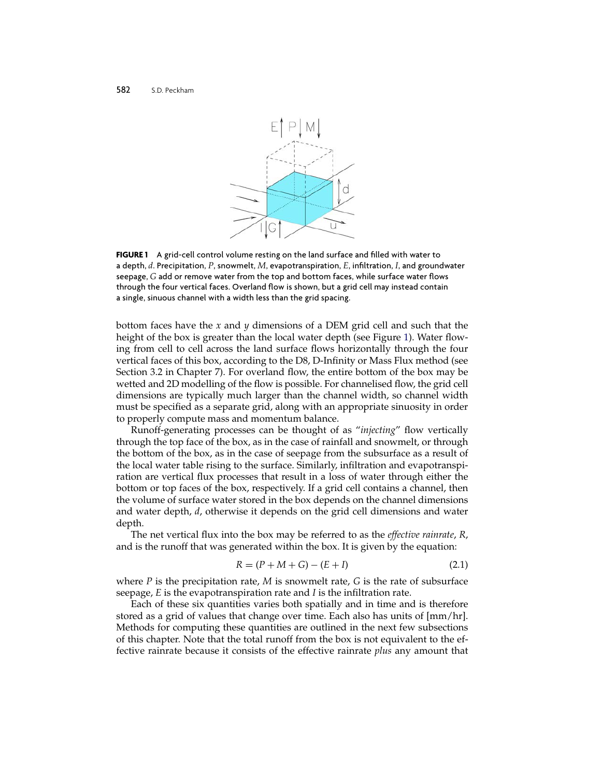

**FIGURE 1** A grid-cell control volume resting on the land surface and filled with water to a depth, *d*. Precipitation, *P*, snowmelt, *M*, evapotranspiration, *E*, infiltration, *I*, and groundwater seepage, *G* add or remove water from the top and bottom faces, while surface water flows through the four vertical faces. Overland flow is shown, but a grid cell may instead contain a single, sinuous channel with a width less than the grid spacing.

bottom faces have the *x* and *y* dimensions of a DEM grid cell and such that the height of the box is greater than the local water depth (see Figure 1). Water flowing from cell to cell across the land surface flows horizontally through the four vertical faces of this box, according to the D8, D-Infinity or Mass Flux method (see Section 3.2 in Chapter 7). For overland flow, the entire bottom of the box may be wetted and 2D modelling of the flow is possible. For channelised flow, the grid cell dimensions are typically much larger than the channel width, so channel width must be specified as a separate grid, along with an appropriate sinuosity in order to properly compute mass and momentum balance.

Runoff-generating processes can be thought of as "*injecting*" flow vertically through the top face of the box, as in the case of rainfall and snowmelt, or through the bottom of the box, as in the case of seepage from the subsurface as a result of the local water table rising to the surface. Similarly, infiltration and evapotranspiration are vertical flux processes that result in a loss of water through either the bottom or top faces of the box, respectively. If a grid cell contains a channel, then the volume of surface water stored in the box depends on the channel dimensions and water depth, *d*, otherwise it depends on the grid cell dimensions and water depth.

The net vertical flux into the box may be referred to as the *effective rainrate*, *R*, and is the runoff that was generated within the box. It is given by the equation:

$$
R = (P + M + G) - (E + I)
$$
\n(2.1)

where *P* is the precipitation rate, *M* is snowmelt rate, *G* is the rate of subsurface seepage, *E* is the evapotranspiration rate and *I* is the infiltration rate.

Each of these six quantities varies both spatially and in time and is therefore stored as a grid of values that change over time. Each also has units of [mm/hr]. Methods for computing these quantities are outlined in the next few subsections of this chapter. Note that the total runoff from the box is not equivalent to the effective rainrate because it consists of the effective rainrate *plus* any amount that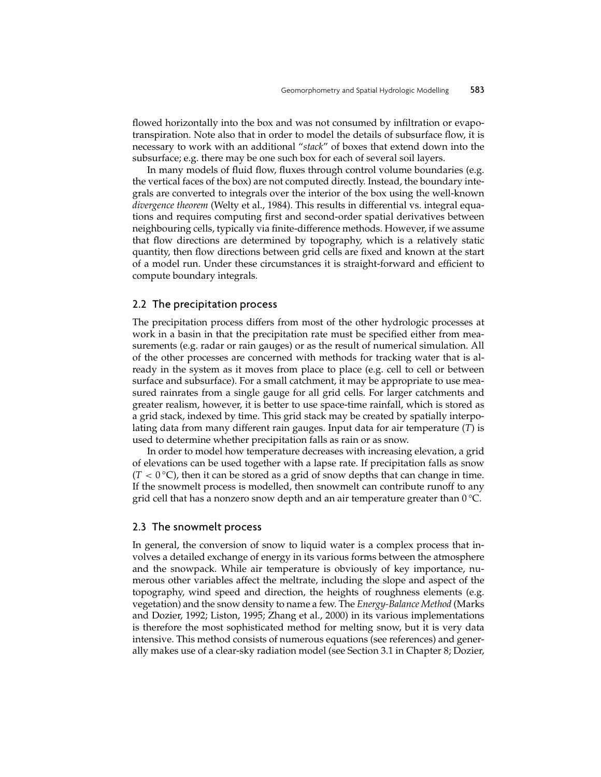flowed horizontally into the box and was not consumed by infiltration or evapotranspiration. Note also that in order to model the details of subsurface flow, it is necessary to work with an additional "*stack*" of boxes that extend down into the subsurface; e.g. there may be one such box for each of several soil layers.

In many models of fluid flow, fluxes through control volume boundaries (e.g. the vertical faces of the box) are not computed directly. Instead, the boundary integrals are converted to integrals over the interior of the box using the well-known *divergence theorem* (Welty et al., 1984). This results in differential vs. integral equations and requires computing first and second-order spatial derivatives between neighbouring cells, typically via finite-difference methods. However, if we assume that flow directions are determined by topography, which is a relatively static quantity, then flow directions between grid cells are fixed and known at the start of a model run. Under these circumstances it is straight-forward and efficient to compute boundary integrals.

#### 2.2 The precipitation process

The precipitation process differs from most of the other hydrologic processes at work in a basin in that the precipitation rate must be specified either from measurements (e.g. radar or rain gauges) or as the result of numerical simulation. All of the other processes are concerned with methods for tracking water that is already in the system as it moves from place to place (e.g. cell to cell or between surface and subsurface). For a small catchment, it may be appropriate to use measured rainrates from a single gauge for all grid cells. For larger catchments and greater realism, however, it is better to use space-time rainfall, which is stored as a grid stack, indexed by time. This grid stack may be created by spatially interpolating data from many different rain gauges. Input data for air temperature (*T*) is used to determine whether precipitation falls as rain or as snow.

In order to model how temperature decreases with increasing elevation, a grid of elevations can be used together with a lapse rate. If precipitation falls as snow  $(T < 0°C)$ , then it can be stored as a grid of snow depths that can change in time. If the snowmelt process is modelled, then snowmelt can contribute runoff to any grid cell that has a nonzero snow depth and an air temperature greater than  $0^{\circ}C$ .

#### 2.3 The snowmelt process

In general, the conversion of snow to liquid water is a complex process that involves a detailed exchange of energy in its various forms between the atmosphere and the snowpack. While air temperature is obviously of key importance, numerous other variables affect the meltrate, including the slope and aspect of the topography, wind speed and direction, the heights of roughness elements (e.g. vegetation) and the snow density to name a few. The *Energy-Balance Method* (Marks and Dozier, 1992; Liston, 1995; Zhang et al., 2000) in its various implementations is therefore the most sophisticated method for melting snow, but it is very data intensive. This method consists of numerous equations (see references) and generally makes use of a clear-sky radiation model (see Section 3.1 in Chapter 8; Dozier,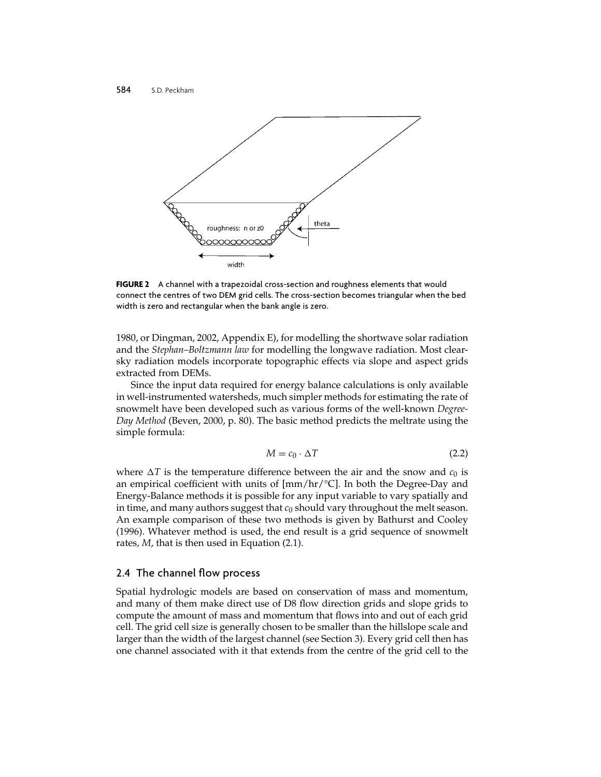

**FIGURE 2** A channel with a trapezoidal cross-section and roughness elements that would connect the centres of two DEM grid cells. The cross-section becomes triangular when the bed width is zero and rectangular when the bank angle is zero.

1980, or Dingman, 2002, Appendix E), for modelling the shortwave solar radiation and the *Stephan–Boltzmann law* for modelling the longwave radiation. Most clearsky radiation models incorporate topographic effects via slope and aspect grids extracted from DEMs.

Since the input data required for energy balance calculations is only available in well-instrumented watersheds, much simpler methods for estimating the rate of snowmelt have been developed such as various forms of the well-known *Degree-Day Method* (Beven, 2000, p. 80). The basic method predicts the meltrate using the simple formula:

$$
M = c_0 \cdot \Delta T \tag{2.2}
$$

where  $\Delta T$  is the temperature difference between the air and the snow and  $c_0$  is an empirical coefficient with units of  $\frac{\text{mm}}{\text{hr}}^{\text{o}}$ . In both the Degree-Day and Energy-Balance methods it is possible for any input variable to vary spatially and in time, and many authors suggest that  $c_0$  should vary throughout the melt season. An example comparison of these two methods is given by Bathurst and Cooley (1996). Whatever method is used, the end result is a grid sequence of snowmelt rates, *M*, that is then used in Equation (2.1).

#### 2.4 The channel flow process

Spatial hydrologic models are based on conservation of mass and momentum, and many of them make direct use of D8 flow direction grids and slope grids to compute the amount of mass and momentum that flows into and out of each grid cell. The grid cell size is generally chosen to be smaller than the hillslope scale and larger than the width of the largest channel (see Section 3). Every grid cell then has one channel associated with it that extends from the centre of the grid cell to the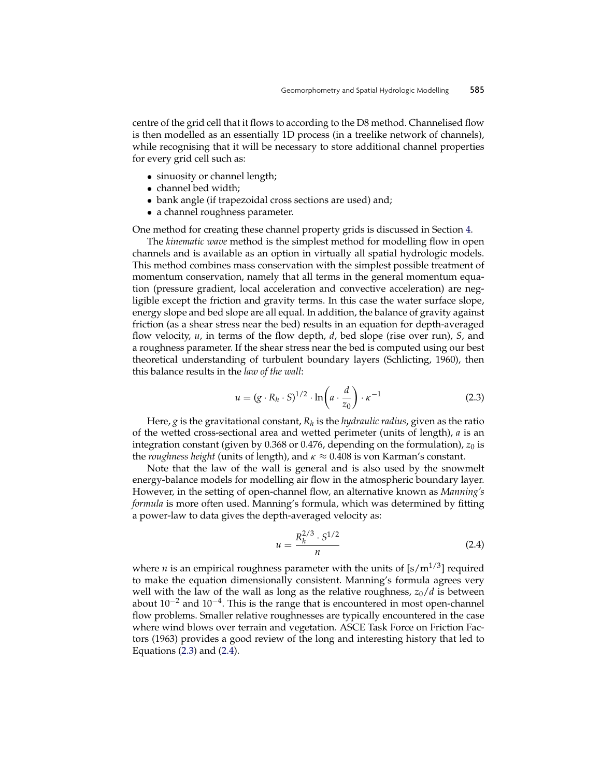centre of the grid cell that it flows to according to the D8 method. Channelised flow is then modelled as an essentially 1D process (in a treelike network of channels), while recognising that it will be necessary to store additional channel properties for every grid cell such as:

- sinuosity or channel length;
- channel bed width;
- bank angle (if trapezoidal cross sections are used) and;
- a channel roughness parameter.

One method for creating these channel property grids is discussed in Section 4.

The *kinematic wave* method is the simplest method for modelling flow in open channels and is available as an option in virtually all spatial hydrologic models. This method combines mass conservation with the simplest possible treatment of momentum conservation, namely that all terms in the general momentum equation (pressure gradient, local acceleration and convective acceleration) are negligible except the friction and gravity terms. In this case the water surface slope, energy slope and bed slope are all equal. In addition, the balance of gravity against friction (as a shear stress near the bed) results in an equation for depth-averaged flow velocity, *u*, in terms of the flow depth, *d*, bed slope (rise over run), *S*, and a roughness parameter. If the shear stress near the bed is computed using our best theoretical understanding of turbulent boundary layers (Schlicting, 1960), then this balance results in the *law of the wall*:

$$
u = (g \cdot R_h \cdot S)^{1/2} \cdot \ln\left(a \cdot \frac{d}{z_0}\right) \cdot \kappa^{-1}
$$
 (2.3)

Here, g is the gravitational constant,  $R_h$  is the *hydraulic radius*, given as the ratio of the wetted cross-sectional area and wetted perimeter (units of length), *a* is an integration constant (given by 0.368 or 0.476, depending on the formulation),  $z_0$  is the *roughness height* (units of length), and  $\kappa \approx 0.408$  is von Karman's constant.

Note that the law of the wall is general and is also used by the snowmelt energy-balance models for modelling air flow in the atmospheric boundary layer. However, in the setting of open-channel flow, an alternative known as *Manning's formula* is more often used. Manning's formula, which was determined by fitting a power-law to data gives the depth-averaged velocity as:

$$
u = \frac{R_h^{2/3} \cdot S^{1/2}}{n} \tag{2.4}
$$

where *n* is an empirical roughness parameter with the units of  $[s/m^{1/3}]$  required to make the equation dimensionally consistent. Manning's formula agrees very well with the law of the wall as long as the relative roughness,  $z_0/d$  is between about  $10^{-2}$  and  $10^{-4}$ . This is the range that is encountered in most open-channel flow problems. Smaller relative roughnesses are typically encountered in the case where wind blows over terrain and vegetation. ASCE Task Force on Friction Factors (1963) provides a good review of the long and interesting history that led to Equations (2.3) and (2.4).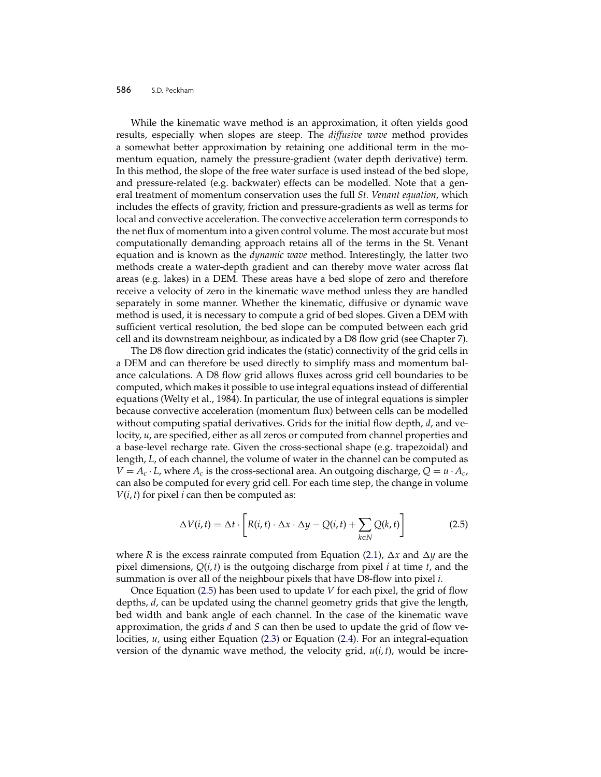While the kinematic wave method is an approximation, it often yields good results, especially when slopes are steep. The *diffusive wave* method provides a somewhat better approximation by retaining one additional term in the momentum equation, namely the pressure-gradient (water depth derivative) term. In this method, the slope of the free water surface is used instead of the bed slope, and pressure-related (e.g. backwater) effects can be modelled. Note that a general treatment of momentum conservation uses the full *St. Venant equation*, which includes the effects of gravity, friction and pressure-gradients as well as terms for local and convective acceleration. The convective acceleration term corresponds to the net flux of momentum into a given control volume. The most accurate but most computationally demanding approach retains all of the terms in the St. Venant equation and is known as the *dynamic wave* method. Interestingly, the latter two methods create a water-depth gradient and can thereby move water across flat areas (e.g. lakes) in a DEM. These areas have a bed slope of zero and therefore receive a velocity of zero in the kinematic wave method unless they are handled separately in some manner. Whether the kinematic, diffusive or dynamic wave method is used, it is necessary to compute a grid of bed slopes. Given a DEM with sufficient vertical resolution, the bed slope can be computed between each grid cell and its downstream neighbour, as indicated by a D8 flow grid (see Chapter 7).

The D8 flow direction grid indicates the (static) connectivity of the grid cells in a DEM and can therefore be used directly to simplify mass and momentum balance calculations. A D8 flow grid allows fluxes across grid cell boundaries to be computed, which makes it possible to use integral equations instead of differential equations (Welty et al., 1984). In particular, the use of integral equations is simpler because convective acceleration (momentum flux) between cells can be modelled without computing spatial derivatives. Grids for the initial flow depth, *d*, and velocity, *u*, are specified, either as all zeros or computed from channel properties and a base-level recharge rate. Given the cross-sectional shape (e.g. trapezoidal) and length, *L*, of each channel, the volume of water in the channel can be computed as  $V = A_c \cdot L$ , where  $A_c$  is the cross-sectional area. An outgoing discharge,  $Q = u \cdot A_c$ , can also be computed for every grid cell. For each time step, the change in volume  $V(i, t)$  for pixel  $i$  can then be computed as:

$$
\Delta V(i,t) = \Delta t \cdot \left[ R(i,t) \cdot \Delta x \cdot \Delta y - Q(i,t) + \sum_{k \in N} Q(k,t) \right]
$$
 (2.5)

where *R* is the excess rainrate computed from Equation (2.1),  $\Delta x$  and  $\Delta y$  are the pixel dimensions, *Q*(*i*,*t*) is the outgoing discharge from pixel *i* at time *t*, and the summation is over all of the neighbour pixels that have D8-flow into pixel *i*.

Once Equation (2.5) has been used to update *V* for each pixel, the grid of flow depths, *d*, can be updated using the channel geometry grids that give the length, bed width and bank angle of each channel. In the case of the kinematic wave approximation, the grids *d* and *S* can then be used to update the grid of flow velocities, *u*, using either Equation (2.3) or Equation (2.4). For an integral-equation version of the dynamic wave method, the velocity grid, *u*(*i*,*t*), would be incre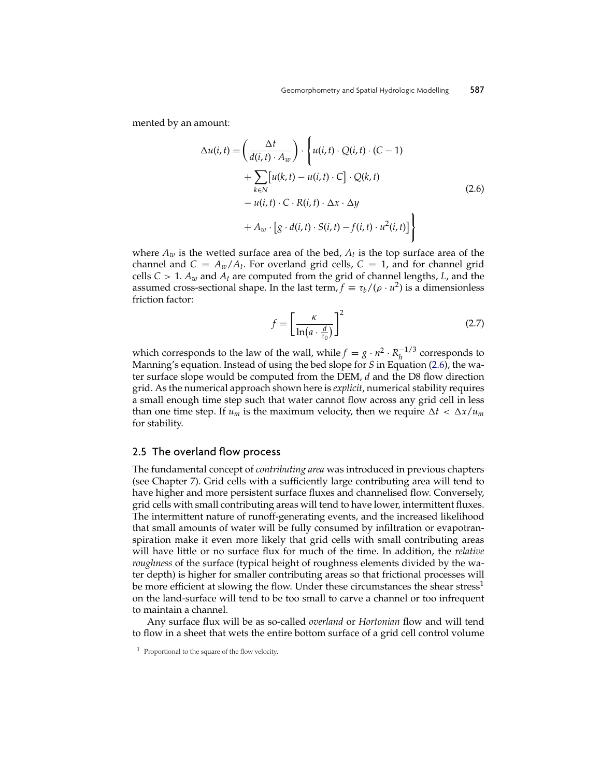mented by an amount:

$$
\Delta u(i,t) = \left(\frac{\Delta t}{d(i,t) \cdot A_w}\right) \cdot \left\{u(i,t) \cdot Q(i,t) \cdot (C-1) + \sum_{k \in \mathbb{N}} \left[u(k,t) - u(i,t) \cdot C\right] \cdot Q(k,t) - u(i,t) \cdot C \cdot R(i,t) \cdot \Delta x \cdot \Delta y + A_w \cdot \left[g \cdot d(i,t) \cdot S(i,t) - f(i,t) \cdot u^2(i,t)\right]\right\}
$$
\n(2.6)

where  $A_w$  is the wetted surface area of the bed,  $A_t$  is the top surface area of the channel and  $C = A_w/A_t$ . For overland grid cells,  $C = 1$ , and for channel grid cells  $C > 1$ .  $A_w$  and  $A_t$  are computed from the grid of channel lengths, L, and the assumed cross-sectional shape. In the last term,  $f \equiv \tau_b/(\rho \cdot u^2)$  is a dimensionless friction factor:

$$
f = \left[\frac{\kappa}{\ln(a \cdot \frac{d}{z_0})}\right]^2
$$
 (2.7)

which corresponds to the law of the wall, while  $f = g \cdot n^2 \cdot R_h^{-1/3}$  corresponds to Manning's equation. Instead of using the bed slope for *S* in Equation (2.6), the water surface slope would be computed from the DEM, *d* and the D8 flow direction grid. As the numerical approach shown here is *explicit*, numerical stability requires a small enough time step such that water cannot flow across any grid cell in less than one time step. If  $u_m$  is the maximum velocity, then we require  $\Delta t < \Delta x/u_m$ for stability.

#### 2.5 The overland flow process

The fundamental concept of *contributing area* was introduced in previous chapters (see Chapter 7). Grid cells with a sufficiently large contributing area will tend to have higher and more persistent surface fluxes and channelised flow. Conversely, grid cells with small contributing areas will tend to have lower, intermittent fluxes. The intermittent nature of runoff-generating events, and the increased likelihood that small amounts of water will be fully consumed by infiltration or evapotranspiration make it even more likely that grid cells with small contributing areas will have little or no surface flux for much of the time. In addition, the *relative roughness* of the surface (typical height of roughness elements divided by the water depth) is higher for smaller contributing areas so that frictional processes will be more efficient at slowing the flow. Under these circumstances the shear stress<sup>1</sup> on the land-surface will tend to be too small to carve a channel or too infrequent to maintain a channel.

Any surface flux will be as so-called *overland* or *Hortonian* flow and will tend to flow in a sheet that wets the entire bottom surface of a grid cell control volume

<sup>1</sup> Proportional to the square of the flow velocity.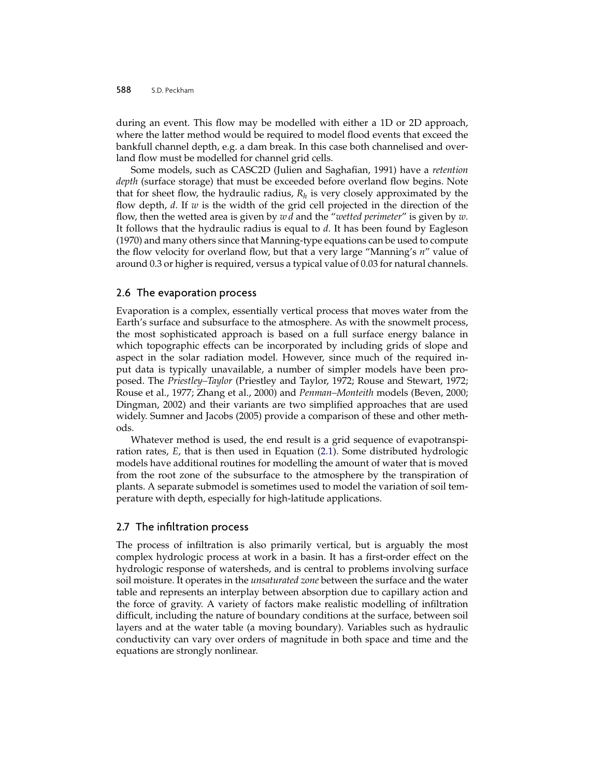during an event. This flow may be modelled with either a 1D or 2D approach, where the latter method would be required to model flood events that exceed the bankfull channel depth, e.g. a dam break. In this case both channelised and overland flow must be modelled for channel grid cells.

Some models, such as CASC2D (Julien and Saghafian, 1991) have a *retention depth* (surface storage) that must be exceeded before overland flow begins. Note that for sheet flow, the hydraulic radius,  $R_h$  is very closely approximated by the flow depth, *d*. If *w* is the width of the grid cell projected in the direction of the flow, then the wetted area is given by *w d* and the "*wetted perimeter*" is given by *w*. It follows that the hydraulic radius is equal to *d*. It has been found by Eagleson (1970) and many others since that Manning-type equations can be used to compute the flow velocity for overland flow, but that a very large "Manning's *n*" value of around 0.3 or higher is required, versus a typical value of 0.03 for natural channels.

#### 2.6 The evaporation process

Evaporation is a complex, essentially vertical process that moves water from the Earth's surface and subsurface to the atmosphere. As with the snowmelt process, the most sophisticated approach is based on a full surface energy balance in which topographic effects can be incorporated by including grids of slope and aspect in the solar radiation model. However, since much of the required input data is typically unavailable, a number of simpler models have been proposed. The *Priestley–Taylor* (Priestley and Taylor, 1972; Rouse and Stewart, 1972; Rouse et al., 1977; Zhang et al., 2000) and *Penman–Monteith* models (Beven, 2000; Dingman, 2002) and their variants are two simplified approaches that are used widely. Sumner and Jacobs (2005) provide a comparison of these and other methods.

Whatever method is used, the end result is a grid sequence of evapotranspiration rates, *E*, that is then used in Equation (2.1). Some distributed hydrologic models have additional routines for modelling the amount of water that is moved from the root zone of the subsurface to the atmosphere by the transpiration of plants. A separate submodel is sometimes used to model the variation of soil temperature with depth, especially for high-latitude applications.

#### 2.7 The infiltration process

The process of infiltration is also primarily vertical, but is arguably the most complex hydrologic process at work in a basin. It has a first-order effect on the hydrologic response of watersheds, and is central to problems involving surface soil moisture. It operates in the *unsaturated zone* between the surface and the water table and represents an interplay between absorption due to capillary action and the force of gravity. A variety of factors make realistic modelling of infiltration difficult, including the nature of boundary conditions at the surface, between soil layers and at the water table (a moving boundary). Variables such as hydraulic conductivity can vary over orders of magnitude in both space and time and the equations are strongly nonlinear.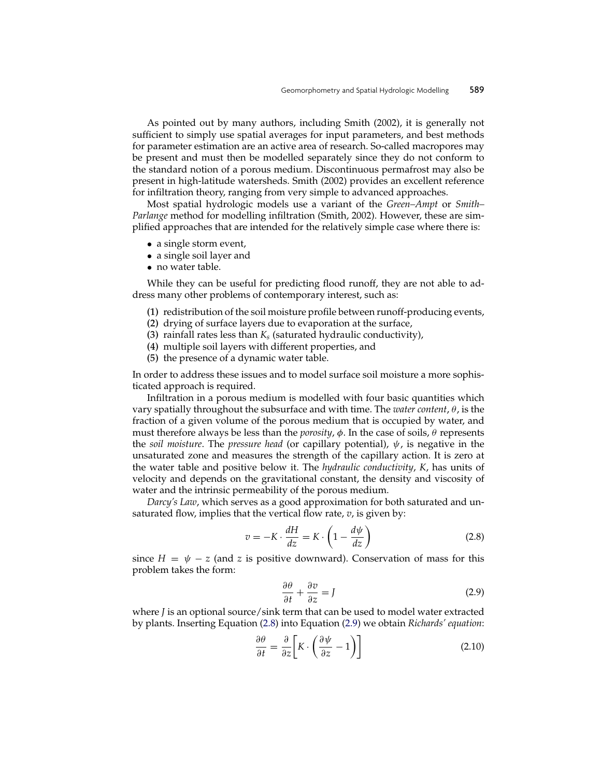As pointed out by many authors, including Smith (2002), it is generally not sufficient to simply use spatial averages for input parameters, and best methods for parameter estimation are an active area of research. So-called macropores may be present and must then be modelled separately since they do not conform to the standard notion of a porous medium. Discontinuous permafrost may also be present in high-latitude watersheds. Smith (2002) provides an excellent reference for infiltration theory, ranging from very simple to advanced approaches.

Most spatial hydrologic models use a variant of the *Green–Ampt* or *Smith– Parlange* method for modelling infiltration (Smith, 2002). However, these are simplified approaches that are intended for the relatively simple case where there is:

- a single storm event,
- a single soil layer and
- no water table.

While they can be useful for predicting flood runoff, they are not able to address many other problems of contemporary interest, such as:

- **(1)** redistribution of the soil moisture profile between runoff-producing events,
- **(2)** drying of surface layers due to evaporation at the surface,
- **(3)** rainfall rates less than *Ks* (saturated hydraulic conductivity),
- **(4)** multiple soil layers with different properties, and
- **(5)** the presence of a dynamic water table.

In order to address these issues and to model surface soil moisture a more sophisticated approach is required.

Infiltration in a porous medium is modelled with four basic quantities which vary spatially throughout the subsurface and with time. The *water content*, θ, is the fraction of a given volume of the porous medium that is occupied by water, and must therefore always be less than the *porosity*,  $\phi$ . In the case of soils,  $\theta$  represents the *soil moisture*. The *pressure head* (or capillary potential),  $\psi$ , is negative in the unsaturated zone and measures the strength of the capillary action. It is zero at the water table and positive below it. The *hydraulic conductivity*, *K*, has units of velocity and depends on the gravitational constant, the density and viscosity of water and the intrinsic permeability of the porous medium.

*Darcy's Law*, which serves as a good approximation for both saturated and unsaturated flow, implies that the vertical flow rate, *v*, is given by:

$$
v = -K \cdot \frac{dH}{dz} = K \cdot \left(1 - \frac{d\psi}{dz}\right)
$$
 (2.8)

since  $H = \psi - z$  (and *z* is positive downward). Conservation of mass for this problem takes the form:

$$
\frac{\partial \theta}{\partial t} + \frac{\partial v}{\partial z} = J \tag{2.9}
$$

where *J* is an optional source/sink term that can be used to model water extracted by plants. Inserting Equation (2.8) into Equation (2.9) we obtain *Richards' equation*:

$$
\frac{\partial \theta}{\partial t} = \frac{\partial}{\partial z} \bigg[ K \cdot \left( \frac{\partial \psi}{\partial z} - 1 \right) \bigg] \tag{2.10}
$$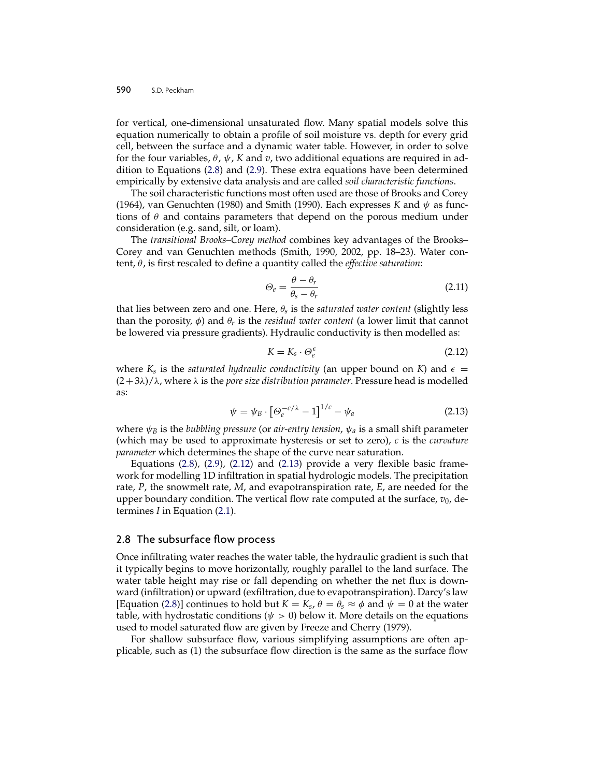for vertical, one-dimensional unsaturated flow. Many spatial models solve this equation numerically to obtain a profile of soil moisture vs. depth for every grid cell, between the surface and a dynamic water table. However, in order to solve for the four variables,  $\theta$ ,  $\psi$ , K and *v*, two additional equations are required in addition to Equations (2.8) and (2.9). These extra equations have been determined empirically by extensive data analysis and are called *soil characteristic functions*.

The soil characteristic functions most often used are those of Brooks and Corey (1964), van Genuchten (1980) and Smith (1990). Each expresses *K* and  $\psi$  as functions of  $\theta$  and contains parameters that depend on the porous medium under consideration (e.g. sand, silt, or loam).

The *transitional Brooks–Corey method* combines key advantages of the Brooks– Corey and van Genuchten methods (Smith, 1990, 2002, pp. 18–23). Water content, θ, is first rescaled to define a quantity called the *effective saturation*:

$$
\Theta_e = \frac{\theta - \theta_r}{\theta_s - \theta_r} \tag{2.11}
$$

that lies between zero and one. Here, θ*<sup>s</sup>* is the *saturated water content* (slightly less than the porosity,  $\phi$ ) and  $\theta_r$  is the *residual water content* (a lower limit that cannot be lowered via pressure gradients). Hydraulic conductivity is then modelled as:

$$
K = K_s \cdot \Theta_e^{\epsilon} \tag{2.12}
$$

where  $K_s$  is the *saturated hydraulic conductivity* (an upper bound on K) and  $\epsilon =$  $(2+3\lambda)/\lambda$ , where  $\lambda$  is the *pore size distribution parameter*. Pressure head is modelled as:

$$
\psi = \psi_B \cdot \left[\Theta_e^{-c/\lambda} - 1\right]^{1/c} - \psi_a \tag{2.13}
$$

where  $\psi_B$  is the *bubbling pressure* (or *air-entry tension,*  $\psi_a$  is a small shift parameter (which may be used to approximate hysteresis or set to zero), *c* is the *curvature parameter* which determines the shape of the curve near saturation.

Equations  $(2.8)$ ,  $(2.9)$ ,  $(2.12)$  and  $(2.13)$  provide a very flexible basic framework for modelling 1D infiltration in spatial hydrologic models. The precipitation rate, *P*, the snowmelt rate, *M*, and evapotranspiration rate, *E*, are needed for the upper boundary condition. The vertical flow rate computed at the surface,  $v_0$ , determines *I* in Equation (2.1).

#### 2.8 The subsurface flow process

Once infiltrating water reaches the water table, the hydraulic gradient is such that it typically begins to move horizontally, roughly parallel to the land surface. The water table height may rise or fall depending on whether the net flux is downward (infiltration) or upward (exfiltration, due to evapotranspiration). Darcy's law [Equation (2.8)] continues to hold but  $K = K_s$ ,  $\theta = \theta_s \approx \phi$  and  $\psi = 0$  at the water table, with hydrostatic conditions ( $\psi > 0$ ) below it. More details on the equations used to model saturated flow are given by Freeze and Cherry (1979).

For shallow subsurface flow, various simplifying assumptions are often applicable, such as (1) the subsurface flow direction is the same as the surface flow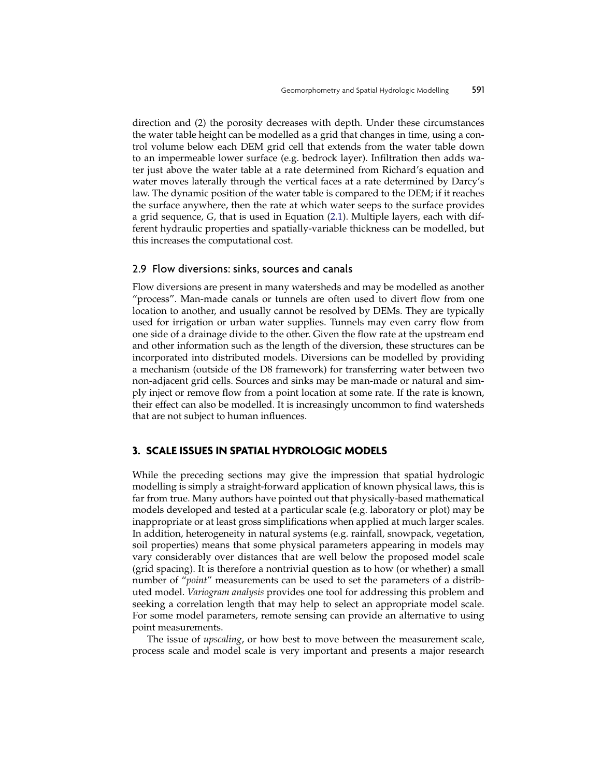direction and (2) the porosity decreases with depth. Under these circumstances the water table height can be modelled as a grid that changes in time, using a control volume below each DEM grid cell that extends from the water table down to an impermeable lower surface (e.g. bedrock layer). Infiltration then adds water just above the water table at a rate determined from Richard's equation and water moves laterally through the vertical faces at a rate determined by Darcy's law. The dynamic position of the water table is compared to the DEM; if it reaches the surface anywhere, then the rate at which water seeps to the surface provides a grid sequence, *G*, that is used in Equation (2.1). Multiple layers, each with different hydraulic properties and spatially-variable thickness can be modelled, but this increases the computational cost.

#### 2.9 Flow diversions: sinks, sources and canals

Flow diversions are present in many watersheds and may be modelled as another "process". Man-made canals or tunnels are often used to divert flow from one location to another, and usually cannot be resolved by DEMs. They are typically used for irrigation or urban water supplies. Tunnels may even carry flow from one side of a drainage divide to the other. Given the flow rate at the upstream end and other information such as the length of the diversion, these structures can be incorporated into distributed models. Diversions can be modelled by providing a mechanism (outside of the D8 framework) for transferring water between two non-adjacent grid cells. Sources and sinks may be man-made or natural and simply inject or remove flow from a point location at some rate. If the rate is known, their effect can also be modelled. It is increasingly uncommon to find watersheds that are not subject to human influences.

## **3. SCALE ISSUES IN SPATIAL HYDROLOGIC MODELS**

While the preceding sections may give the impression that spatial hydrologic modelling is simply a straight-forward application of known physical laws, this is far from true. Many authors have pointed out that physically-based mathematical models developed and tested at a particular scale (e.g. laboratory or plot) may be inappropriate or at least gross simplifications when applied at much larger scales. In addition, heterogeneity in natural systems (e.g. rainfall, snowpack, vegetation, soil properties) means that some physical parameters appearing in models may vary considerably over distances that are well below the proposed model scale (grid spacing). It is therefore a nontrivial question as to how (or whether) a small number of "*point*" measurements can be used to set the parameters of a distributed model. *Variogram analysis* provides one tool for addressing this problem and seeking a correlation length that may help to select an appropriate model scale. For some model parameters, remote sensing can provide an alternative to using point measurements.

The issue of *upscaling*, or how best to move between the measurement scale, process scale and model scale is very important and presents a major research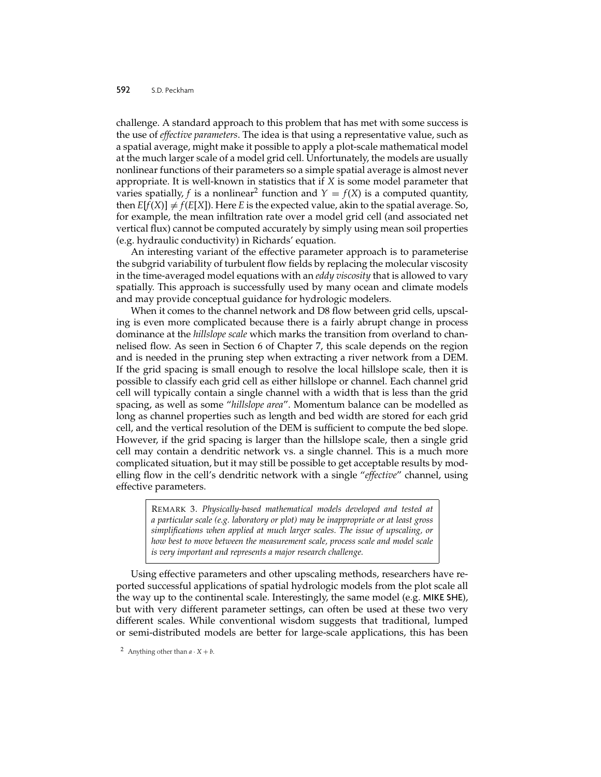challenge. A standard approach to this problem that has met with some success is the use of *effective parameters*. The idea is that using a representative value, such as a spatial average, might make it possible to apply a plot-scale mathematical model at the much larger scale of a model grid cell. Unfortunately, the models are usually nonlinear functions of their parameters so a simple spatial average is almost never appropriate. It is well-known in statistics that if *X* is some model parameter that varies spatially, *f* is a nonlinear<sup>2</sup> function and  $Y = f(X)$  is a computed quantity, then  $E[f(X)] \neq f(E[X])$ . Here *E* is the expected value, akin to the spatial average. So, for example, the mean infiltration rate over a model grid cell (and associated net vertical flux) cannot be computed accurately by simply using mean soil properties (e.g. hydraulic conductivity) in Richards' equation.

An interesting variant of the effective parameter approach is to parameterise the subgrid variability of turbulent flow fields by replacing the molecular viscosity in the time-averaged model equations with an *eddy viscosity* that is allowed to vary spatially. This approach is successfully used by many ocean and climate models and may provide conceptual guidance for hydrologic modelers.

When it comes to the channel network and D8 flow between grid cells, upscaling is even more complicated because there is a fairly abrupt change in process dominance at the *hillslope scale* which marks the transition from overland to channelised flow. As seen in Section 6 of Chapter 7, this scale depends on the region and is needed in the pruning step when extracting a river network from a DEM. If the grid spacing is small enough to resolve the local hillslope scale, then it is possible to classify each grid cell as either hillslope or channel. Each channel grid cell will typically contain a single channel with a width that is less than the grid spacing, as well as some "*hillslope area*". Momentum balance can be modelled as long as channel properties such as length and bed width are stored for each grid cell, and the vertical resolution of the DEM is sufficient to compute the bed slope. However, if the grid spacing is larger than the hillslope scale, then a single grid cell may contain a dendritic network vs. a single channel. This is a much more complicated situation, but it may still be possible to get acceptable results by modelling flow in the cell's dendritic network with a single "*effective*" channel, using effective parameters.

REMARK 3. *Physically-based mathematical models developed and tested at a particular scale (e.g. laboratory or plot)may be inappropriate or at least gross simplifications when applied at much larger scales. The issue of upscaling, or how best to move between the measurement scale, process scale and model scale is very important and represents a major research challenge.*

Using effective parameters and other upscaling methods, researchers have reported successful applications of spatial hydrologic models from the plot scale all the way up to the continental scale. Interestingly, the same model (e.g. MIKE SHE), but with very different parameter settings, can often be used at these two very different scales. While conventional wisdom suggests that traditional, lumped or semi-distributed models are better for large-scale applications, this has been

<sup>&</sup>lt;sup>2</sup> Anything other than  $a \cdot X + b$ .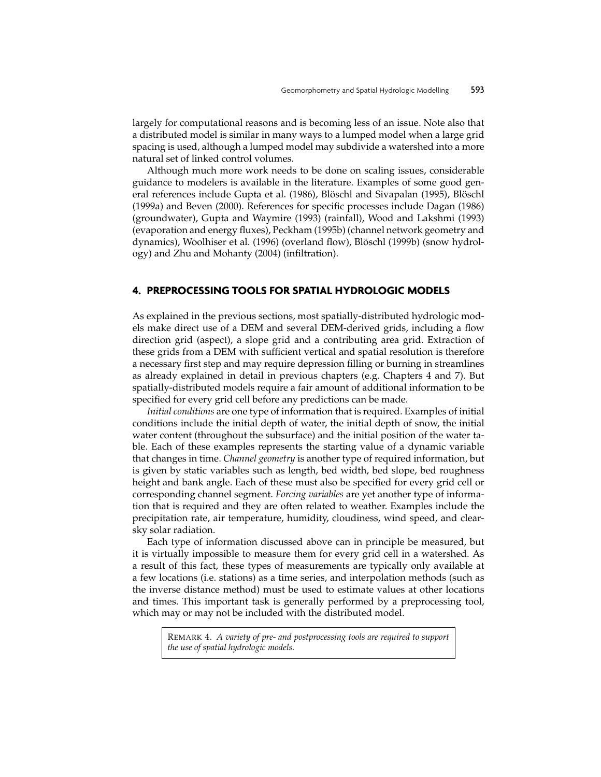largely for computational reasons and is becoming less of an issue. Note also that a distributed model is similar in many ways to a lumped model when a large grid spacing is used, although a lumped model may subdivide a watershed into a more natural set of linked control volumes.

Although much more work needs to be done on scaling issues, considerable guidance to modelers is available in the literature. Examples of some good general references include Gupta et al. (1986), Blöschl and Sivapalan (1995), Blöschl (1999a) and Beven (2000). References for specific processes include Dagan (1986) (groundwater), Gupta and Waymire (1993) (rainfall), Wood and Lakshmi (1993) (evaporation and energy fluxes), Peckham (1995b) (channel network geometry and dynamics), Woolhiser et al. (1996) (overland flow), Blöschl (1999b) (snow hydrology) and Zhu and Mohanty (2004) (infiltration).

## **4. PREPROCESSING TOOLS FOR SPATIAL HYDROLOGIC MODELS**

As explained in the previous sections, most spatially-distributed hydrologic models make direct use of a DEM and several DEM-derived grids, including a flow direction grid (aspect), a slope grid and a contributing area grid. Extraction of these grids from a DEM with sufficient vertical and spatial resolution is therefore a necessary first step and may require depression filling or burning in streamlines as already explained in detail in previous chapters (e.g. Chapters 4 and 7). But spatially-distributed models require a fair amount of additional information to be specified for every grid cell before any predictions can be made.

*Initial conditions* are one type of information that is required. Examples of initial conditions include the initial depth of water, the initial depth of snow, the initial water content (throughout the subsurface) and the initial position of the water table. Each of these examples represents the starting value of a dynamic variable that changes in time. *Channel geometry* is another type of required information, but is given by static variables such as length, bed width, bed slope, bed roughness height and bank angle. Each of these must also be specified for every grid cell or corresponding channel segment. *Forcing variables* are yet another type of information that is required and they are often related to weather. Examples include the precipitation rate, air temperature, humidity, cloudiness, wind speed, and clearsky solar radiation.

Each type of information discussed above can in principle be measured, but it is virtually impossible to measure them for every grid cell in a watershed. As a result of this fact, these types of measurements are typically only available at a few locations (i.e. stations) as a time series, and interpolation methods (such as the inverse distance method) must be used to estimate values at other locations and times. This important task is generally performed by a preprocessing tool, which may or may not be included with the distributed model.

REMARK 4. *A variety of pre- and postprocessing tools are required to support the use of spatial hydrologic models.*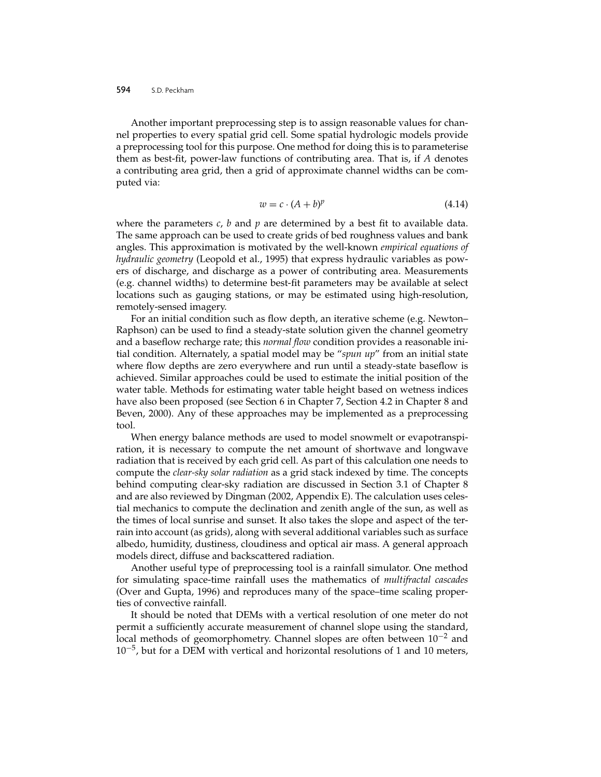Another important preprocessing step is to assign reasonable values for channel properties to every spatial grid cell. Some spatial hydrologic models provide a preprocessing tool for this purpose. One method for doing this is to parameterise them as best-fit, power-law functions of contributing area. That is, if *A* denotes a contributing area grid, then a grid of approximate channel widths can be computed via:

$$
w = c \cdot (A + b)^p \tag{4.14}
$$

where the parameters *c*, *b* and *p* are determined by a best fit to available data. The same approach can be used to create grids of bed roughness values and bank angles. This approximation is motivated by the well-known *empirical equations of hydraulic geometry* (Leopold et al., 1995) that express hydraulic variables as powers of discharge, and discharge as a power of contributing area. Measurements (e.g. channel widths) to determine best-fit parameters may be available at select locations such as gauging stations, or may be estimated using high-resolution, remotely-sensed imagery.

For an initial condition such as flow depth, an iterative scheme (e.g. Newton– Raphson) can be used to find a steady-state solution given the channel geometry and a baseflow recharge rate; this *normal flow* condition provides a reasonable initial condition. Alternately, a spatial model may be "*spun up*" from an initial state where flow depths are zero everywhere and run until a steady-state baseflow is achieved. Similar approaches could be used to estimate the initial position of the water table. Methods for estimating water table height based on wetness indices have also been proposed (see Section 6 in Chapter 7, Section 4.2 in Chapter 8 and Beven, 2000). Any of these approaches may be implemented as a preprocessing tool.

When energy balance methods are used to model snowmelt or evapotranspiration, it is necessary to compute the net amount of shortwave and longwave radiation that is received by each grid cell. As part of this calculation one needs to compute the *clear-sky solar radiation* as a grid stack indexed by time. The concepts behind computing clear-sky radiation are discussed in Section 3.1 of Chapter 8 and are also reviewed by Dingman (2002, Appendix E). The calculation uses celestial mechanics to compute the declination and zenith angle of the sun, as well as the times of local sunrise and sunset. It also takes the slope and aspect of the terrain into account (as grids), along with several additional variables such as surface albedo, humidity, dustiness, cloudiness and optical air mass. A general approach models direct, diffuse and backscattered radiation.

Another useful type of preprocessing tool is a rainfall simulator. One method for simulating space-time rainfall uses the mathematics of *multifractal cascades* (Over and Gupta, 1996) and reproduces many of the space–time scaling properties of convective rainfall.

It should be noted that DEMs with a vertical resolution of one meter do not permit a sufficiently accurate measurement of channel slope using the standard, local methods of geomorphometry. Channel slopes are often between  $10^{-2}$  and  $10^{-5}$ , but for a DEM with vertical and horizontal resolutions of 1 and 10 meters,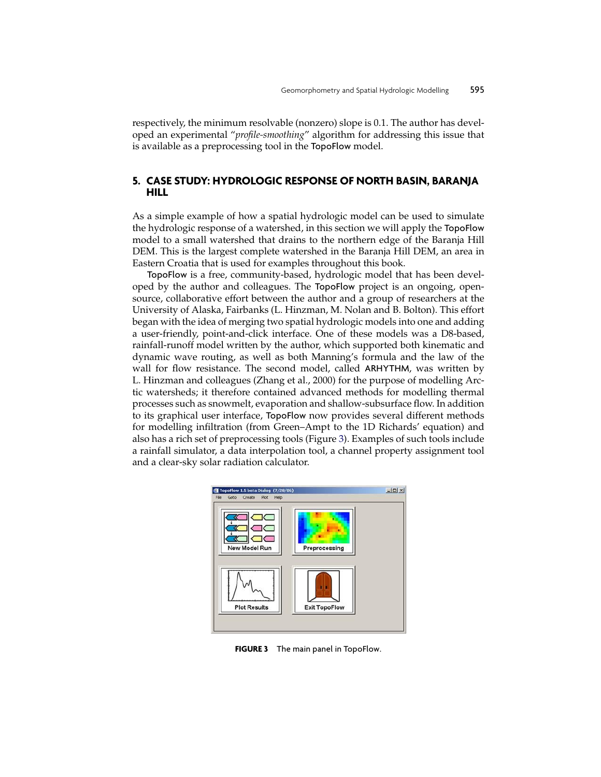respectively, the minimum resolvable (nonzero) slope is 0.1. The author has developed an experimental "*profile-smoothing*" algorithm for addressing this issue that is available as a preprocessing tool in the TopoFlow model.

## **5. CASE STUDY: HYDROLOGIC RESPONSE OF NORTH BASIN, BARANJA HILL**

As a simple example of how a spatial hydrologic model can be used to simulate the hydrologic response of a watershed, in this section we will apply the TopoFlow model to a small watershed that drains to the northern edge of the Baranja Hill DEM. This is the largest complete watershed in the Baranja Hill DEM, an area in Eastern Croatia that is used for examples throughout this book.

TopoFlow is a free, community-based, hydrologic model that has been developed by the author and colleagues. The TopoFlow project is an ongoing, opensource, collaborative effort between the author and a group of researchers at the University of Alaska, Fairbanks (L. Hinzman, M. Nolan and B. Bolton). This effort began with the idea of merging two spatial hydrologic models into one and adding a user-friendly, point-and-click interface. One of these models was a D8-based, rainfall-runoff model written by the author, which supported both kinematic and dynamic wave routing, as well as both Manning's formula and the law of the wall for flow resistance. The second model, called ARHYTHM, was written by L. Hinzman and colleagues (Zhang et al., 2000) for the purpose of modelling Arctic watersheds; it therefore contained advanced methods for modelling thermal processes such as snowmelt, evaporation and shallow-subsurface flow. In addition to its graphical user interface, TopoFlow now provides several different methods for modelling infiltration (from Green–Ampt to the 1D Richards' equation) and also has a rich set of preprocessing tools (Figure 3). Examples of such tools include a rainfall simulator, a data interpolation tool, a channel property assignment tool and a clear-sky solar radiation calculator.



**FIGURE 3** The main panel in TopoFlow.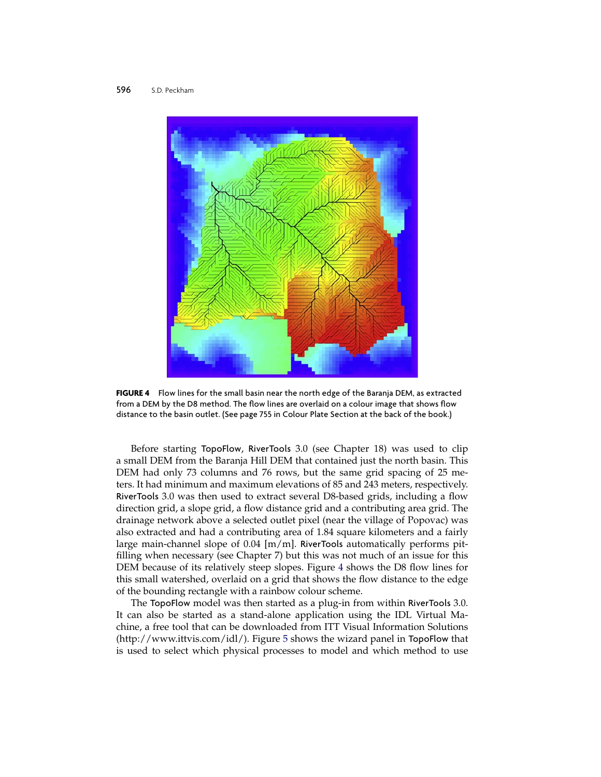

**FIGURE 4** Flow lines for the small basin near the north edge of the Baranja DEM, as extracted from a DEM by the D8 method. The flow lines are overlaid on a colour image that shows flow distance to the basin outlet. (See page 755 in Colour Plate Section at the back of the book.)

Before starting TopoFlow, RiverTools 3.0 (see Chapter 18) was used to clip a small DEM from the Baranja Hill DEM that contained just the north basin. This DEM had only 73 columns and 76 rows, but the same grid spacing of 25 meters. It had minimum and maximum elevations of 85 and 243 meters, respectively. RiverTools 3.0 was then used to extract several D8-based grids, including a flow direction grid, a slope grid, a flow distance grid and a contributing area grid. The drainage network above a selected outlet pixel (near the village of Popovac) was also extracted and had a contributing area of 1.84 square kilometers and a fairly large main-channel slope of 0.04 [m/m]. RiverTools automatically performs pitfilling when necessary (see Chapter 7) but this was not much of an issue for this DEM because of its relatively steep slopes. Figure 4 shows the D8 flow lines for this small watershed, overlaid on a grid that shows the flow distance to the edge of the bounding rectangle with a rainbow colour scheme.

The TopoFlow model was then started as a plug-in from within RiverTools 3.0. It can also be started as a stand-alone application using the IDL Virtual Machine, a free tool that can be downloaded from ITT Visual Information Solutions (http://www.ittvis.com/idl/). Figure 5 shows the wizard panel in TopoFlow that is used to select which physical processes to model and which method to use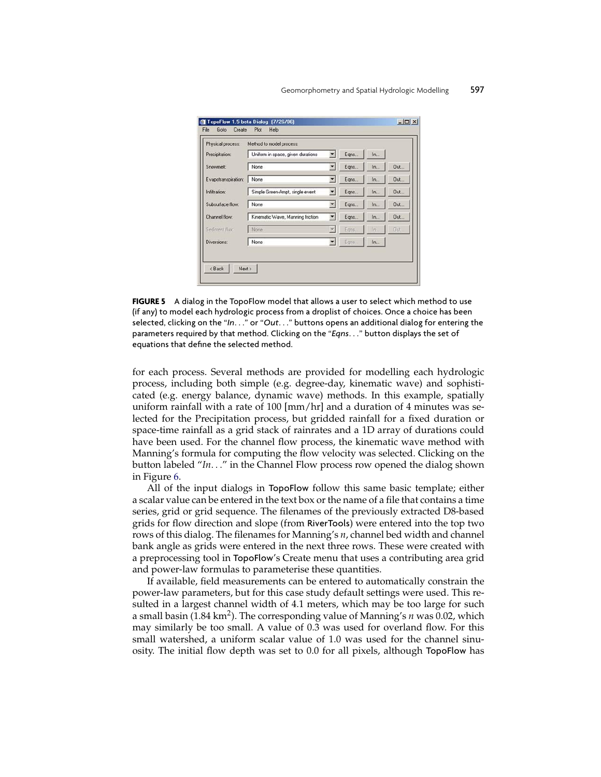| Physical process:   | Method to model process:          |                          |       |                  |      |
|---------------------|-----------------------------------|--------------------------|-------|------------------|------|
| Precipitation:      | Uniform in space, given durations |                          | Egns  | $ln_{\cdots}$    |      |
| Snowmelt:           | None                              | $\overline{\phantom{a}}$ | Eqns  | ln               | Out  |
| Evapotranspiration: | None                              | $\overline{\phantom{a}}$ | Egns  | ln.              | Out  |
| Infiltration:       | Simple Green-Ampt, single event   |                          | Eqns  | ln               | Out  |
| Subsurface flow:    | None                              | $\overline{\phantom{a}}$ | Eqns  | ln <sub>th</sub> | Out  |
| Channel flow:       | Kinematic Wave, Manning friction  |                          | Eqns  | ln               | Out  |
| Sediment flux:      | None                              | lw.                      | Egns  | ln               | Gut. |
| Diversions:         | None                              | $\overline{\phantom{a}}$ | Egns. | ln               |      |
|                     |                                   |                          |       |                  |      |

**FIGURE 5** A dialog in the TopoFlow model that allows a user to select which method to use (if any) to model each hydrologic process from a droplist of choices. Once a choice has been selected, clicking on the "*In*..." or "*Out*..." buttons opens an additional dialog for entering the parameters required by that method. Clicking on the "*Eqns*..." button displays the set of equations that define the selected method.

for each process. Several methods are provided for modelling each hydrologic process, including both simple (e.g. degree-day, kinematic wave) and sophisticated (e.g. energy balance, dynamic wave) methods. In this example, spatially uniform rainfall with a rate of  $100$  [mm/hr] and a duration of 4 minutes was selected for the Precipitation process, but gridded rainfall for a fixed duration or space-time rainfall as a grid stack of rainrates and a 1D array of durations could have been used. For the channel flow process, the kinematic wave method with Manning's formula for computing the flow velocity was selected. Clicking on the button labeled "*In*..." in the Channel Flow process row opened the dialog shown in Figure 6.

All of the input dialogs in TopoFlow follow this same basic template; either a scalar value can be entered in the text box or the name of a file that contains a time series, grid or grid sequence. The filenames of the previously extracted D8-based grids for flow direction and slope (from RiverTools) were entered into the top two rows of this dialog. The filenames for Manning's *n*, channel bed width and channel bank angle as grids were entered in the next three rows. These were created with a preprocessing tool in TopoFlow's Create menu that uses a contributing area grid and power-law formulas to parameterise these quantities.

If available, field measurements can be entered to automatically constrain the power-law parameters, but for this case study default settings were used. This resulted in a largest channel width of 4.1 meters, which may be too large for such a small basin (1.84 km<sup>2</sup>). The corresponding value of Manning's *n* was 0.02, which may similarly be too small. A value of 0.3 was used for overland flow. For this small watershed, a uniform scalar value of 1.0 was used for the channel sinuosity. The initial flow depth was set to 0.0 for all pixels, although TopoFlow has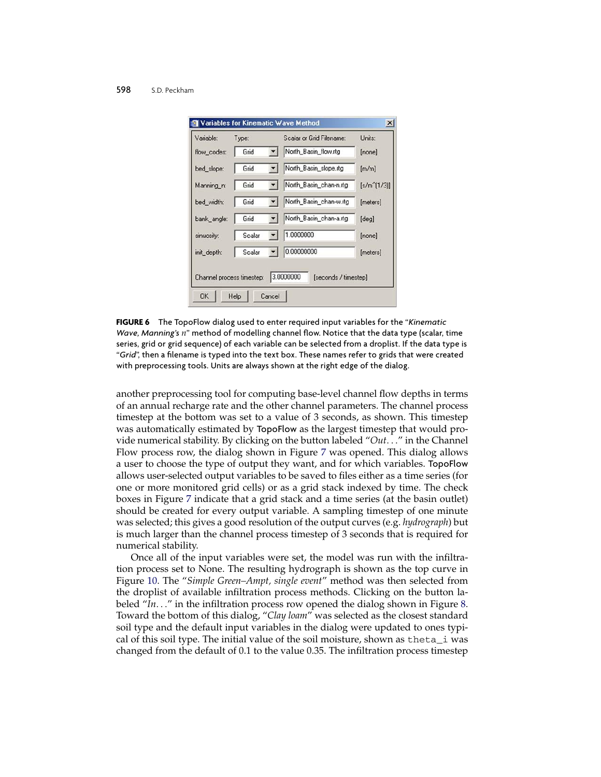| Variable:                 | Type:  | Scalar or Grid Filename:          | Units:      |
|---------------------------|--------|-----------------------------------|-------------|
| flow codes:               | Grid   | North_Basin_flow.rtg              | [none]      |
| bed slope:                | Grid   | North_Basin_slope.rtg             | [m/m]       |
| Manning n:                | Grid   | North_Basin_chan-n.rtg            | [s/m^(1/3)] |
| bed width:                | Grid   | North_Basin_chan-w.rtg            | [meters]    |
| bank angle:               | Grid   | North_Basin_chan-a.rtg            | [deg]       |
| sinuosity:                | Scalar | 1.0000000                         | [none]      |
| init depth:               | Scalar | 0.00000000                        | [meters]    |
| Channel process timestep: |        | 3.0000000<br>[seconds / timestep] |             |

**FIGURE 6** The TopoFlow dialog used to enter required input variables for the "*Kinematic Wave, Manning's n*" method of modelling channel flow. Notice that the data type (scalar, time series, grid or grid sequence) of each variable can be selected from a droplist. If the data type is "*Grid*", then a filename is typed into the text box. These names refer to grids that were created with preprocessing tools. Units are always shown at the right edge of the dialog.

another preprocessing tool for computing base-level channel flow depths in terms of an annual recharge rate and the other channel parameters. The channel process timestep at the bottom was set to a value of 3 seconds, as shown. This timestep was automatically estimated by TopoFlow as the largest timestep that would provide numerical stability. By clicking on the button labeled "*Out*..." in the Channel Flow process row, the dialog shown in Figure 7 was opened. This dialog allows a user to choose the type of output they want, and for which variables. TopoFlow allows user-selected output variables to be saved to files either as a time series (for one or more monitored grid cells) or as a grid stack indexed by time. The check boxes in Figure 7 indicate that a grid stack and a time series (at the basin outlet) should be created for every output variable. A sampling timestep of one minute was selected; this gives a good resolution of the output curves (e.g. *hydrograph*) but is much larger than the channel process timestep of 3 seconds that is required for numerical stability.

Once all of the input variables were set, the model was run with the infiltration process set to None. The resulting hydrograph is shown as the top curve in Figure 10. The "*Simple Green–Ampt, single event*" method was then selected from the droplist of available infiltration process methods. Clicking on the button labeled "*In*..." in the infiltration process row opened the dialog shown in Figure 8. Toward the bottom of this dialog, "*Clay loam*" was selected as the closest standard soil type and the default input variables in the dialog were updated to ones typical of this soil type. The initial value of the soil moisture, shown as theta\_i was changed from the default of 0.1 to the value 0.35. The infiltration process timestep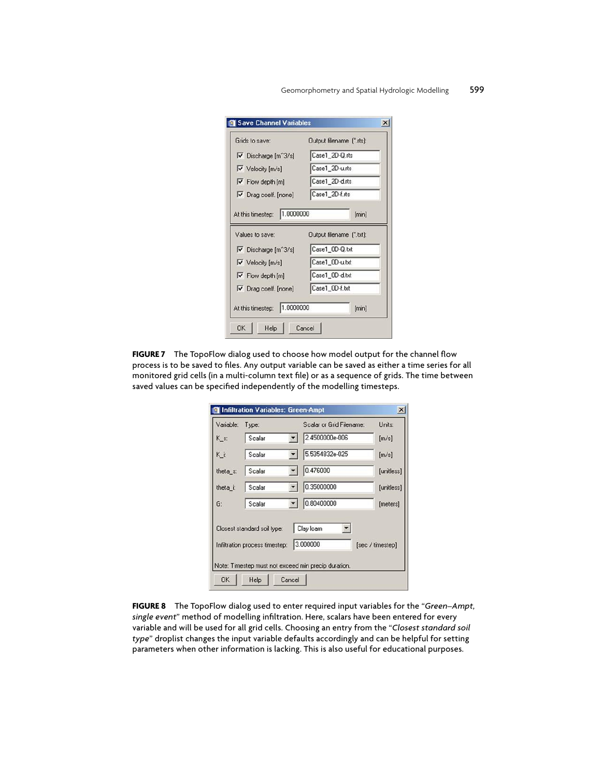| Grids to save:                                                                                                                                     | Output filename [".rts]: |
|----------------------------------------------------------------------------------------------------------------------------------------------------|--------------------------|
| $\nabla$ Discharge $[m^3/s]$                                                                                                                       | Case1_2D-Q.rts           |
| $\triangledown$ Velocity [m/s]                                                                                                                     | Case1_2D-u.rts           |
| $\triangledown$ Flow depth [m]                                                                                                                     | Case1_2D-d.rts           |
| $\triangledown$ Drag coeff. [none]                                                                                                                 | Case1_2D-f.rts           |
|                                                                                                                                                    |                          |
|                                                                                                                                                    | Output filename [".txt]: |
|                                                                                                                                                    | Case1_0D-Q.txt           |
|                                                                                                                                                    | Case1_0D-u.txt           |
|                                                                                                                                                    | Case1_0D-d.txt           |
| Values to save:<br>$\nabla$ Discharge $[m^3/8]$<br>$\triangledown$ Velocity [m/s]<br>$\triangledown$ Flow depth [m]<br>$\nabla$ Drag coeff. [none] | Case1_0D-f.txt           |

**FIGURE 7** The TopoFlow dialog used to choose how model output for the channel flow process is to be saved to files. Any output variable can be saved as either a time series for all monitored grid cells (in a multi-column text file) or as a sequence of grids. The time between saved values can be specified independently of the modelling timesteps.

| Variable: | Type:                                                         | Scalar or Grid Filename:                                                     | Units:           |  |
|-----------|---------------------------------------------------------------|------------------------------------------------------------------------------|------------------|--|
| K s:      | Scalar                                                        | 2.4500000e-006                                                               | [m/s]            |  |
| Ki        | Scalar                                                        | 5.5354832e-025                                                               |                  |  |
| theta s:  | $\mathbf{r}$<br>Scalar                                        | 0.476000                                                                     | [unitless]       |  |
| theta i:  | Scalar                                                        | 0.35000000                                                                   | [unitless]       |  |
| G:        | Scalar                                                        | 0.80400000                                                                   | [meters]         |  |
|           | Closest standard soil type:<br>Infiltration process timestep: | Clay Ioam<br>3.000000<br>Note: Timestep must not exceed min precip duration. | [sec / timestep] |  |

**FIGURE 8** The TopoFlow dialog used to enter required input variables for the "*Green–Ampt, single event*" method of modelling infiltration. Here, scalars have been entered for every variable and will be used for all grid cells. Choosing an entry from the "*Closest standard soil type*" droplist changes the input variable defaults accordingly and can be helpful for setting parameters when other information is lacking. This is also useful for educational purposes.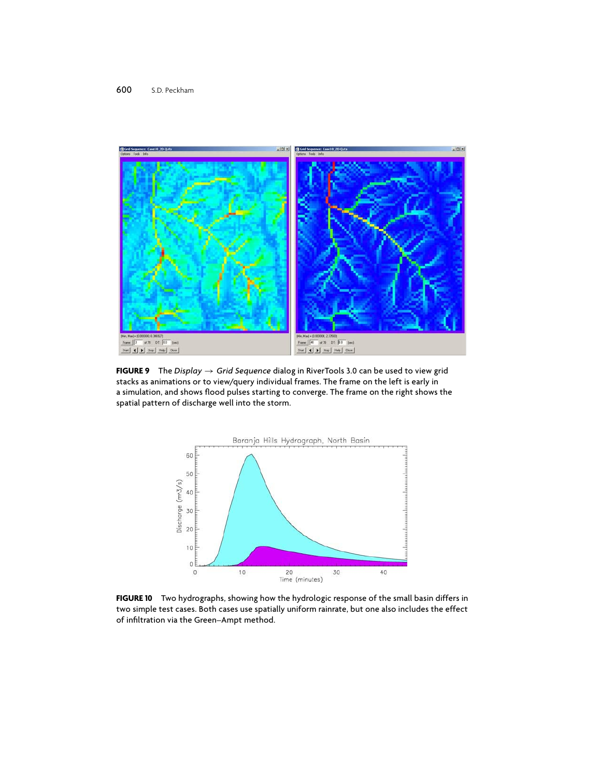

**FIGURE 9** The *Display* → *Grid Sequence* dialog in RiverTools 3.0 can be used to view grid stacks as animations or to view/query individual frames. The frame on the left is early in a simulation, and shows flood pulses starting to converge. The frame on the right shows the spatial pattern of discharge well into the storm.



**FIGURE 10** Two hydrographs, showing how the hydrologic response of the small basin differs in two simple test cases. Both cases use spatially uniform rainrate, but one also includes the effect of infiltration via the Green–Ampt method.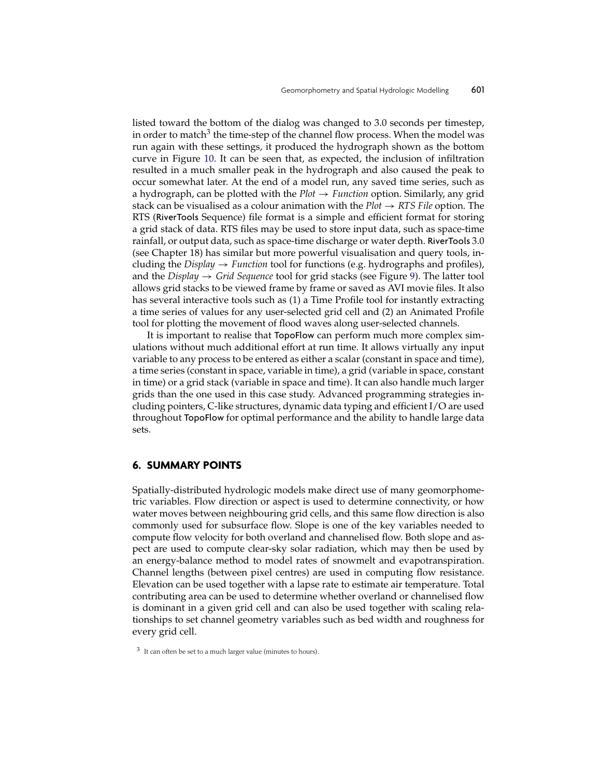listed toward the bottom of the dialog was changed to 3.0 seconds per timestep, in order to match<sup>3</sup> the time-step of the channel flow process. When the model was run again with these settings, it produced the hydrograph shown as the bottom curve in Figure 10. It can be seen that, as expected, the inclusion of infiltration resulted in a much smaller peak in the hydrograph and also caused the peak to occur somewhat later. At the end of a model run, any saved time series, such as a hydrograph, can be plotted with the  $Plot \rightarrow Function$  option. Similarly, any grid stack can be visualised as a colour animation with the  $Plot \rightarrow RTS$  *File* option. The RTS (RiverTools Sequence) file format is a simple and efficient format for storing a grid stack of data. RTS files may be used to store input data, such as space-time rainfall, or output data, such as space-time discharge or water depth. RiverTools 3.0 (see Chapter 18) has similar but more powerful visualisation and query tools, including the *Display*  $\rightarrow$  *Function* tool for functions (e.g. hydrographs and profiles), and the *Display*  $\rightarrow$  *Grid Sequence* tool for grid stacks (see Figure 9). The latter tool allows grid stacks to be viewed frame by frame or saved as AVI movie files. It also has several interactive tools such as (1) a Time Profile tool for instantly extracting a time series of values for any user-selected grid cell and (2) an Animated Profile tool for plotting the movement of flood waves along user-selected channels.

It is important to realise that TopoFlow can perform much more complex simulations without much additional effort at run time. It allows virtually any input variable to any process to be entered as either a scalar (constant in space and time), a time series (constant in space, variable in time), a grid (variable in space, constant in time) or a grid stack (variable in space and time). It can also handle much larger grids than the one used in this case study. Advanced programming strategies including pointers, C-like structures, dynamic data typing and efficient I/O are used throughout TopoFlow for optimal performance and the ability to handle large data sets.

#### **6. SUMMARY POINTS**

Spatially-distributed hydrologic models make direct use of many geomorphometric variables. Flow direction or aspect is used to determine connectivity, or how water moves between neighbouring grid cells, and this same flow direction is also commonly used for subsurface flow. Slope is one of the key variables needed to compute flow velocity for both overland and channelised flow. Both slope and aspect are used to compute clear-sky solar radiation, which may then be used by an energy-balance method to model rates of snowmelt and evapotranspiration. Channel lengths (between pixel centres) are used in computing flow resistance. Elevation can be used together with a lapse rate to estimate air temperature. Total contributing area can be used to determine whether overland or channelised flow is dominant in a given grid cell and can also be used together with scaling relationships to set channel geometry variables such as bed width and roughness for every grid cell.

<sup>3</sup> It can often be set to a much larger value (minutes to hours).